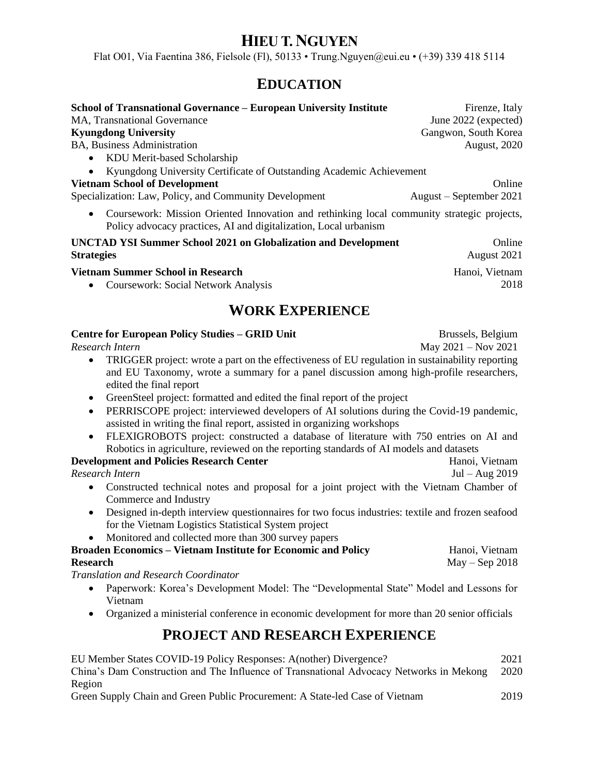# **HIEU T. NGUYEN**

Flat O01, Via Faentina 386, Fielsole (Fl), 50133 • Trung.Nguyen@eui.eu • (+39) 339 418 5114

## **EDUCATION**

| <b>School of Transnational Governance – European University Institute</b>                                                                                                   | Firenze, Italy            |
|-----------------------------------------------------------------------------------------------------------------------------------------------------------------------------|---------------------------|
| <b>MA, Transnational Governance</b>                                                                                                                                         | June 2022 (expected)      |
| <b>Kyungdong University</b>                                                                                                                                                 | Gangwon, South Korea      |
| <b>BA, Business Administration</b>                                                                                                                                          | <b>August, 2020</b>       |
| • KDU Merit-based Scholarship                                                                                                                                               |                           |
| Kyungdong University Certificate of Outstanding Academic Achievement<br>$\bullet$                                                                                           |                           |
| <b>Vietnam School of Development</b>                                                                                                                                        | Online                    |
| Specialization: Law, Policy, and Community Development                                                                                                                      | $August - September 2021$ |
| Coursework: Mission Oriented Innovation and rethinking local community strategic projects,<br>$\bullet$<br>Policy advocacy practices, AI and digitalization, Local urbanism |                           |
| <b>UNCTAD YSI Summer School 2021 on Globalization and Development</b>                                                                                                       | Online                    |
| <b>Strategies</b>                                                                                                                                                           | August 2021               |
| Vietnam Summer School in Research                                                                                                                                           | Hanoi, Vietnam            |
| <b>Coursework: Social Network Analysis</b><br>$\bullet$                                                                                                                     | 2018                      |
|                                                                                                                                                                             |                           |

# **WORK EXPERIENCE**

#### **Centre for European Policy Studies – GRID Unit**

*Research Intern*

- TRIGGER project: wrote a part on the effectiveness of EU regulation in sustainability reporting and EU Taxonomy, wrote a summary for a panel discussion among high-profile researchers, edited the final report
- GreenSteel project: formatted and edited the final report of the project
- PERRISCOPE project: interviewed developers of AI solutions during the Covid-19 pandemic, assisted in writing the final report, assisted in organizing workshops
- FLEXIGROBOTS project: constructed a database of literature with 750 entries on AI and Robotics in agriculture, reviewed on the reporting standards of AI models and datasets

### **Development and Policies Research Center**

*Research Intern*

- Constructed technical notes and proposal for a joint project with the Vietnam Chamber of Commerce and Industry
- Designed in-depth interview questionnaires for two focus industries: textile and frozen seafood for the Vietnam Logistics Statistical System project
- Monitored and collected more than 300 survey papers

**Broaden Economics – Vietnam Institute for Economic and Policy Research**

*Translation and Research Coordinator*

- Paperwork: Korea's Development Model: The "Developmental State" Model and Lessons for Vietnam
- Organized a ministerial conference in economic development for more than 20 senior officials

### **PROJECT AND RESEARCH EXPERIENCE**

EU Member States COVID-19 Policy Responses: A(nother) Divergence? 2021 China's Dam Construction and The Influence of Transnational Advocacy Networks in Mekong Region 2020

Green Supply Chain and Green Public Procurement: A State-led Case of Vietnam 2019

Brussels, Belgium May 2021 – Nov 2021

> Hanoi, Vietnam Jul – Aug 2019

Hanoi, Vietnam May – Sep 2018